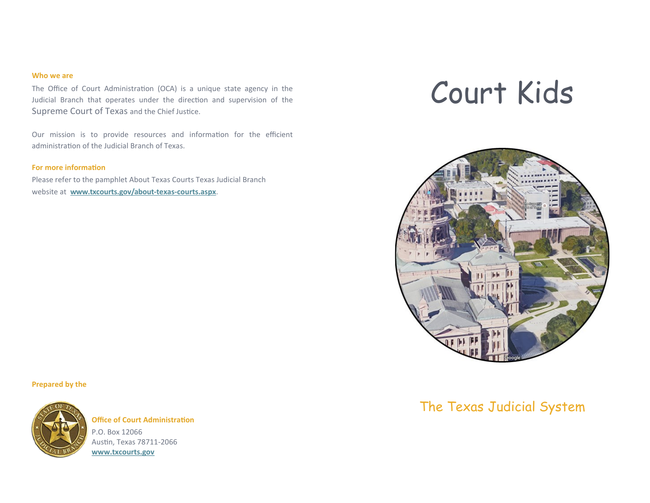#### **Who we are**

The Office of Court Administration (OCA) is a unique state agency in the Judicial Branch that operates under the direction and supervision of the Supreme Court of Texas and the Chief Justice.

Our mission is to provide resources and information for the efficient administration of the Judicial Branch of Texas.

#### **For more information**

Please refer to the pamphlet About Texas Courts Texas Judicial Branch website at **www.txcourts.gov/about-texas-courts.aspx**.

# Court Kids



#### **Prepared by the**



**Office of Court Administration** P.O. Box 12066 Austin, Texas 78711-2066 **www.txcourts.gov**

## The Texas Judicial System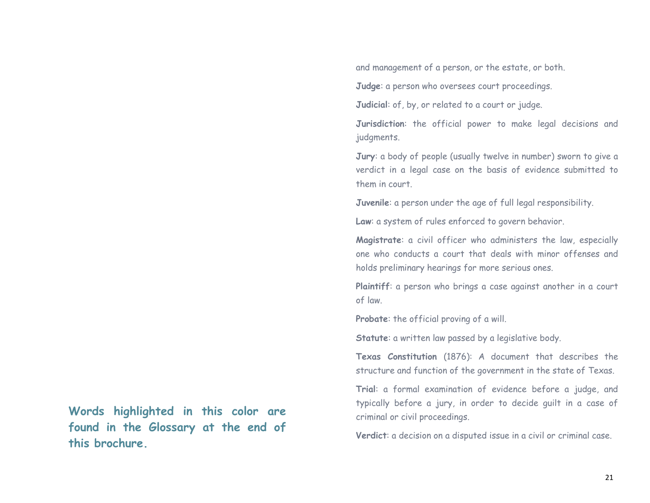and management of a person, or the estate, or both.

**Judge**: a person who oversees court proceedings.

**Judicial**: of, by, or related to a court or judge.

**Jurisdiction**: the official power to make legal decisions and judgments.

**Jury**: a body of people (usually twelve in number) sworn to give a verdict in a legal case on the basis of evidence submitted to them in court.

**Juvenile**: a person under the age of full legal responsibility.

**Law**: a system of rules enforced to govern behavior.

**Magistrate**: a civil officer who administers the law, especially one who conducts a court that deals with minor offenses and holds preliminary hearings for more serious ones.

**Plaintiff**: a person who brings a case against another in a court of law.

**Probate**: the official proving of a will.

**Statute**: a written law passed by a legislative body.

**Texas Constitution** (1876): A document that describes the structure and function of the government in the state of Texas.

**Trial**: a formal examination of evidence before a judge, and typically before a jury, in order to decide guilt in a case of criminal or civil proceedings.

**Verdict**: a decision on a disputed issue in a civil or criminal case.

**Words highlighted in this color are found in the Glossary at the end of this brochure.**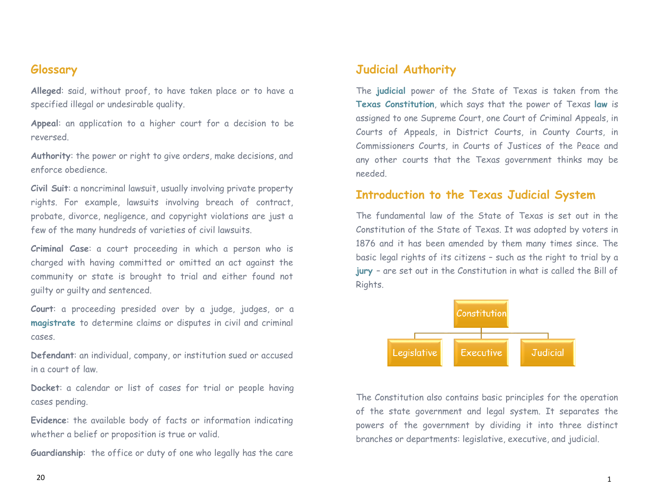## **Glossary**

**Alleged**: said, without proof, to have taken place or to have a specified illegal or undesirable quality.

**Appeal**: an application to a higher court for a decision to be reversed.

**Authority**: the power or right to give orders, make decisions, and enforce obedience.

**Civil Suit**: a noncriminal lawsuit, usually involving private property rights. For example, lawsuits involving breach of contract, probate, divorce, negligence, and copyright violations are just a few of the many hundreds of varieties of civil lawsuits.

**Criminal Case**: a court proceeding in which a person who is charged with having committed or omitted an act against the community or state is brought to trial and either found not guilty or guilty and sentenced.

**Court**: a proceeding presided over by a judge, judges, or a **magistrate** to determine claims or disputes in civil and criminal cases.

**Defendant**: an individual, company, or institution sued or accused in a court of law.

**Docket**: a calendar or list of cases for trial or people having cases pending.

**Evidence**: the available body of facts or information indicating whether a belief or proposition is true or valid.

**Guardianship**: the office or duty of one who legally has the care

## **Judicial Authority**

The **judicial** power of the State of Texas is taken from the **Texas Constitution**, which says that the power of Texas **law** is assigned to one Supreme Court, one Court of Criminal Appeals, in Courts of Appeals, in District Courts, in County Courts, in Commissioners Courts, in Courts of Justices of the Peace and any other courts that the Texas government thinks may be needed.

### **Introduction to the Texas Judicial System**

The fundamental law of the State of Texas is set out in the Constitution of the State of Texas. It was adopted by voters in 1876 and it has been amended by them many times since. The basic legal rights of its citizens – such as the right to trial by a **jury** – are set out in the Constitution in what is called the Bill of Rights.



The Constitution also contains basic principles for the operation of the state government and legal system. It separates the powers of the government by dividing it into three distinct branches or departments: legislative, executive, and judicial.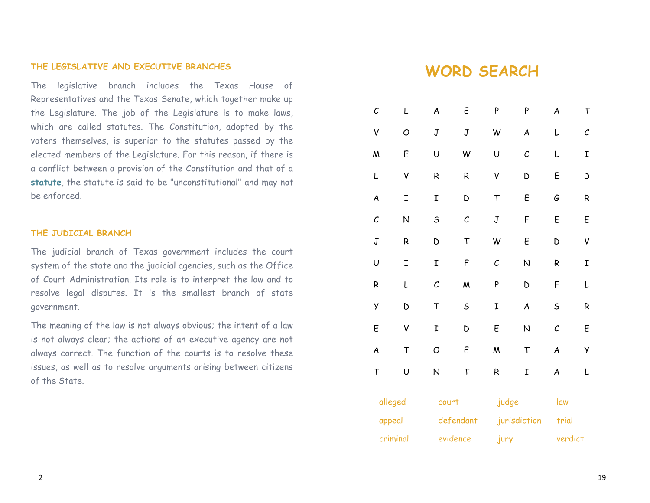#### **THE LEGISLATIVE AND EXECUTIVE BRANCHES**

The legislative branch includes the Texas House of Representatives and the Texas Senate, which together make up the Legislature. The job of the Legislature is to make laws, which are called statutes. The Constitution, adopted by the voters themselves, is superior to the statutes passed by the elected members of the Legislature. For this reason, if there is a conflict between a provision of the Constitution and that of a **statute**, the statute is said to be "unconstitutional" and may not be enforced.

#### **THE JUDICIAL BRANCH**

The judicial branch of Texas government includes the court system of the state and the judicial agencies, such as the Office of Court Administration. Its role is to interpret the law and to resolve legal disputes. It is the smallest branch of state government.

The meaning of the law is not always obvious; the intent of a law is not always clear; the actions of an executive agency are not always correct. The function of the courts is to resolve these issues, as well as to resolve arguments arising between citizens of the State.

# **WORD SEARCH**

| C                         | L      | A            | E            | P                         | P            | A            | T        |
|---------------------------|--------|--------------|--------------|---------------------------|--------------|--------------|----------|
| V                         | O      | $\mathbb J$  | J            | W                         | A            | L            | $\cal C$ |
| M                         | E      | U            | W            | U                         | $\mathcal C$ | L            | I        |
| L                         | V      | R            | R            | V                         | D            | E            | D        |
| A                         | I      | I            | D            | $\top$                    | E            | G            | R        |
| $\cal C$                  | N      | S            | $\mathcal C$ | $\ensuremath{\mathbf{J}}$ | F            | E            | E        |
| $\ensuremath{\mathbf{J}}$ | R      | D            | $\top$       | W                         | E            | D            | V        |
| U                         | I      | I            | F            | $\cal C$                  | N            | R            | I        |
| R                         | L      | $\mathcal C$ | M            | Ρ                         | D            | F            | L        |
| У                         | D      | $\mathsf T$  | $\mathsf S$  | I                         | A            | $\sf S$      | R        |
| E                         | V      | I            | D            | E                         | N            | $\mathcal C$ | E        |
| A                         | $\top$ | O            | E            | M                         | $\top$       | A            | У        |
| $\mathsf T$               | U      | N            | T            | ${\sf R}$                 | I            | A            | L        |
| alleged                   |        | court        |              | judge                     |              | law          |          |
| appeal                    |        | defendant    |              | jurisdiction              |              | trial        |          |
| criminal                  |        | evidence     |              | jury                      |              | verdict      |          |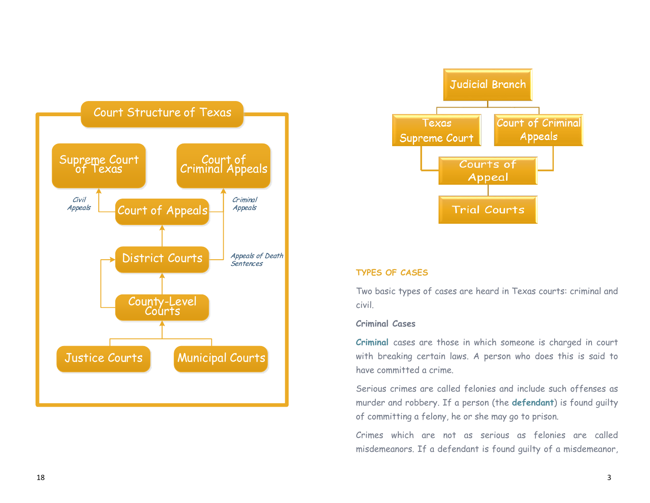



#### **TYPES OF CASES**

Two basic types of cases are heard in Texas courts: criminal and civil.

#### **Criminal Cases**

**Criminal** cases are those in which someone is charged in court with breaking certain laws. A person who does this is said to have committed a crime.

Serious crimes are called felonies and include such offenses as murder and robbery. If a person (the **defendant**) is found guilty of committing a felony, he or she may go to prison.

Crimes which are not as serious as felonies are called misdemeanors. If a defendant is found guilty of a misdemeanor,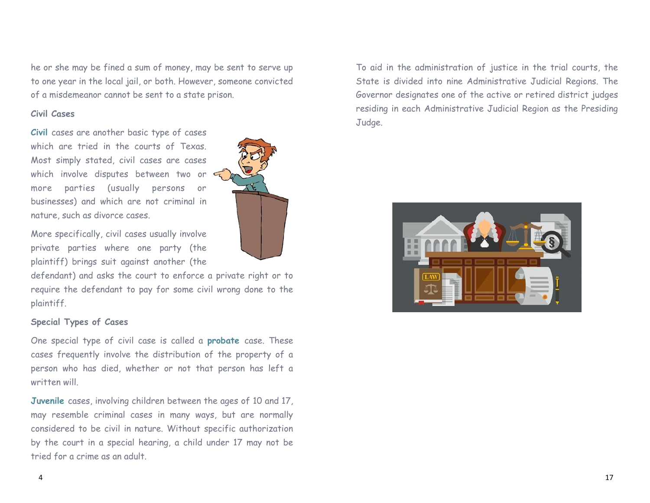he or she may be fined a sum of money, may be sent to serve up to one year in the local jail, or both. However, someone convicted of a misdemeanor cannot be sent to a state prison.

#### **Civil Cases**

**Civil** cases are another basic type of cases which are tried in the courts of Texas. Most simply stated, civil cases are cases which involve disputes between two or more parties (usually persons or businesses) and which are not criminal in nature, such as divorce cases.

More specifically, civil cases usually involve private parties where one party (the plaintiff) brings suit against another (the

defendant) and asks the court to enforce a private right or to require the defendant to pay for some civil wrong done to the plaintiff.

#### **Special Types of Cases**

One special type of civil case is called a **probate** case. These cases frequently involve the distribution of the property of a person who has died, whether or not that person has left a written will.

**Juvenile** cases, involving children between the ages of 10 and 17, may resemble criminal cases in many ways, but are normally considered to be civil in nature. Without specific authorization by the court in a special hearing, a child under 17 may not be tried for a crime as an adult.

To aid in the administration of justice in the trial courts, the State is divided into nine Administrative Judicial Regions. The Governor designates one of the active or retired district judges residing in each Administrative Judicial Region as the Presiding Judge.



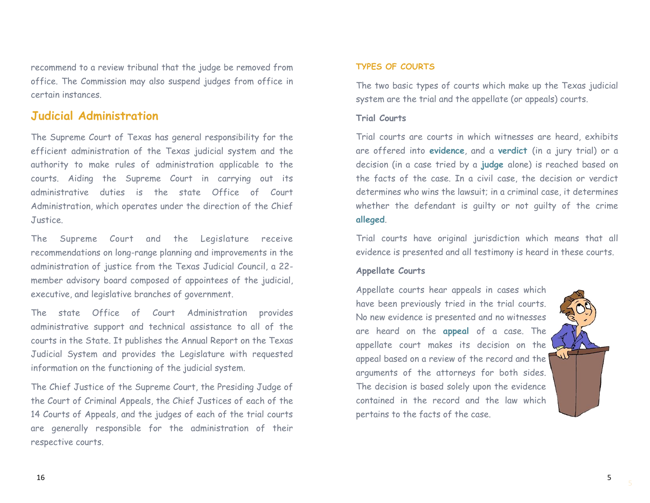recommend to a review tribunal that the judge be removed from office. The Commission may also suspend judges from office in certain instances.

## **Judicial Administration**

The Supreme Court of Texas has general responsibility for the efficient administration of the Texas judicial system and the authority to make rules of administration applicable to the courts. Aiding the Supreme Court in carrying out its administrative duties is the state Office of Court Administration, which operates under the direction of the Chief Justice.

The Supreme Court and the Legislature receive recommendations on long-range planning and improvements in the administration of justice from the Texas Judicial Council, a 22 member advisory board composed of appointees of the judicial, executive, and legislative branches of government.

The state Office of Court Administration provides administrative support and technical assistance to all of the courts in the State. It publishes the Annual Report on the Texas Judicial System and provides the Legislature with requested information on the functioning of the judicial system.

The Chief Justice of the Supreme Court, the Presiding Judge of the Court of Criminal Appeals, the Chief Justices of each of the 14 Courts of Appeals, and the judges of each of the trial courts are generally responsible for the administration of their respective courts.

#### **TYPES OF COURTS**

The two basic types of courts which make up the Texas judicial system are the trial and the appellate (or appeals) courts.

#### **Trial Courts**

Trial courts are courts in which witnesses are heard, exhibits are offered into **evidence**, and a **verdict** (in a jury trial) or a decision (in a case tried by a **judge** alone) is reached based on the facts of the case. In a civil case, the decision or verdict determines who wins the lawsuit; in a criminal case, it determines whether the defendant is guilty or not guilty of the crime **alleged**.

Trial courts have original jurisdiction which means that all evidence is presented and all testimony is heard in these courts.

#### **Appellate Courts**

Appellate courts hear appeals in cases which have been previously tried in the trial courts. No new evidence is presented and no witnesses are heard on the **appeal** of a case. The appellate court makes its decision on the appeal based on a review of the record and the arguments of the attorneys for both sides. The decision is based solely upon the evidence contained in the record and the law which pertains to the facts of the case.



5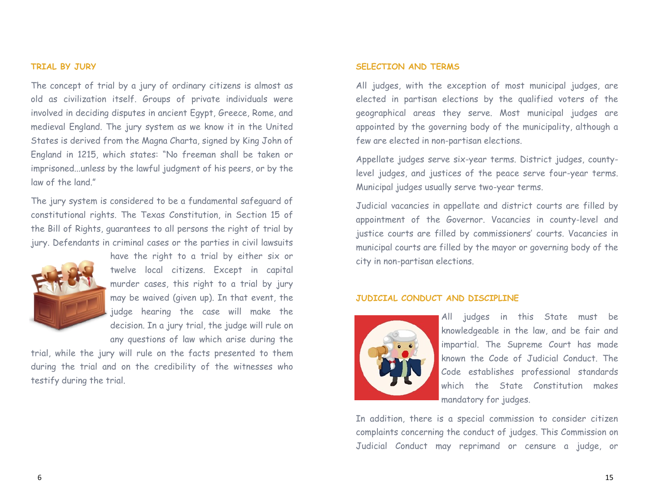#### **TRIAL BY JURY**

The concept of trial by a jury of ordinary citizens is almost as old as civilization itself. Groups of private individuals were involved in deciding disputes in ancient Egypt, Greece, Rome, and medieval England. The jury system as we know it in the United States is derived from the Magna Charta, signed by King John of England in 1215, which states: "No freeman shall be taken or imprisoned...unless by the lawful judgment of his peers, or by the law of the land."

The jury system is considered to be a fundamental safeguard of constitutional rights. The Texas Constitution, in Section 15 of the Bill of Rights, guarantees to all persons the right of trial by jury. Defendants in criminal cases or the parties in civil lawsuits



have the right to a trial by either six or twelve local citizens. Except in capital murder cases, this right to a trial by jury may be waived (given up). In that event, the judge hearing the case will make the decision. In a jury trial, the judge will rule on any questions of law which arise during the

trial, while the jury will rule on the facts presented to them during the trial and on the credibility of the witnesses who testify during the trial.

#### **SELECTION AND TERMS**

All judges, with the exception of most municipal judges, are elected in partisan elections by the qualified voters of the geographical areas they serve. Most municipal judges are appointed by the governing body of the municipality, although a few are elected in non-partisan elections.

Appellate judges serve six-year terms. District judges, countylevel judges, and justices of the peace serve four-year terms. Municipal judges usually serve two-year terms.

Judicial vacancies in appellate and district courts are filled by appointment of the Governor. Vacancies in county-level and justice courts are filled by commissioners' courts. Vacancies in municipal courts are filled by the mayor or governing body of the city in non-partisan elections.

#### **JUDICIAL CONDUCT AND DISCIPLINE**



All judges in this State must be knowledgeable in the law, and be fair and impartial. The Supreme Court has made known the Code of Judicial Conduct. The Code establishes professional standards which the State Constitution makes mandatory for judges.

In addition, there is a special commission to consider citizen complaints concerning the conduct of judges. This Commission on Judicial Conduct may reprimand or censure a judge, or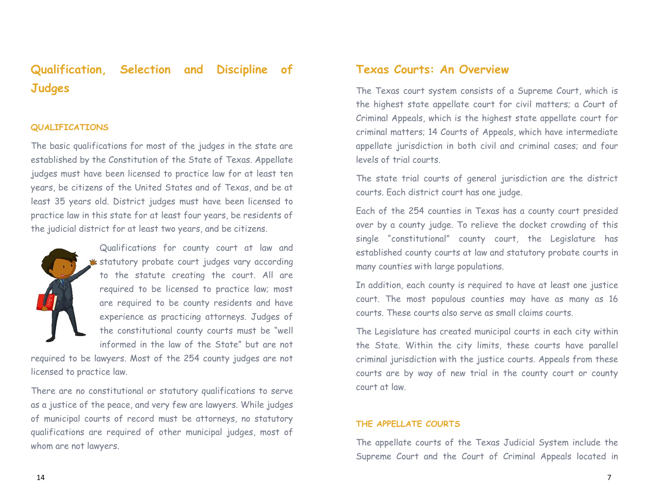# **Qualification, Selection and Discipline of Judges**

#### **QUALIFICATIONS**

The basic qualifications for most of the judges in the state are established by the Constitution of the State of Texas. Appellate judges must have been licensed to practice law for at least ten years, be citizens of the United States and of Texas, and be at least 35 years old. District judges must have been licensed to practice law in this state for at least four years, be residents of the judicial district for at least two years, and be citizens.



Qualifications for county court at law and **\*** statutory probate court judges vary according to the statute creating the court. All are required to be licensed to practice law; most are required to be county residents and have experience as practicing attorneys. Judges of the constitutional county courts must be "well informed in the law of the State" but are not

required to be lawyers. Most of the 254 county judges are not licensed to practice law.

There are no constitutional or statutory qualifications to serve as a justice of the peace, and very few are lawyers. While judges of municipal courts of record must be attorneys, no statutory qualifications are required of other municipal judges, most of whom are not lawyers.

## **Texas Courts: An Overview**

The Texas court system consists of a Supreme Court, which is the highest state appellate court for civil matters; a Court of Criminal Appeals, which is the highest state appellate court for criminal matters; 14 Courts of Appeals, which have intermediate appellate jurisdiction in both civil and criminal cases; and four levels of trial courts.

The state trial courts of general jurisdiction are the district courts. Each district court has one judge.

Each of the 254 counties in Texas has a county court presided over by a county judge. To relieve the docket crowding of this single "constitutional" county court, the Legislature has established county courts at law and statutory probate courts in many counties with large populations.

In addition, each county is required to have at least one justice court. The most populous counties may have as many as 16 courts. These courts also serve as small claims courts.

The Legislature has created municipal courts in each city within the State. Within the city limits, these courts have parallel criminal jurisdiction with the justice courts. Appeals from these courts are by way of new trial in the county court or county court at law.

#### **THE APPELLATE COURTS**

The appellate courts of the Texas Judicial System include the Supreme Court and the Court of Criminal Appeals located in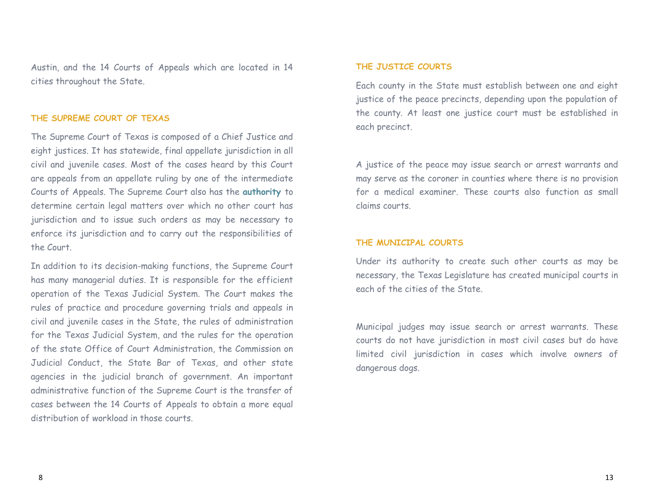Austin, and the 14 Courts of Appeals which are located in 14 cities throughout the State.

#### **THE SUPREME COURT OF TEXAS**

The Supreme Court of Texas is composed of a Chief Justice and eight justices. It has statewide, final appellate jurisdiction in all civil and juvenile cases. Most of the cases heard by this Court are appeals from an appellate ruling by one of the intermediate Courts of Appeals. The Supreme Court also has the **authority** to determine certain legal matters over which no other court has jurisdiction and to issue such orders as may be necessary to enforce its jurisdiction and to carry out the responsibilities of the Court.

In addition to its decision-making functions, the Supreme Court has many managerial duties. It is responsible for the efficient operation of the Texas Judicial System. The Court makes the rules of practice and procedure governing trials and appeals in civil and juvenile cases in the State, the rules of administration for the Texas Judicial System, and the rules for the operation of the state Office of Court Administration, the Commission on Judicial Conduct, the State Bar of Texas, and other state agencies in the judicial branch of government. An important administrative function of the Supreme Court is the transfer of cases between the 14 Courts of Appeals to obtain a more equal distribution of workload in those courts.

#### **THE JUSTICE COURTS**

Each county in the State must establish between one and eight justice of the peace precincts, depending upon the population of the county. At least one justice court must be established in each precinct.

A justice of the peace may issue search or arrest warrants and may serve as the coroner in counties where there is no provision for a medical examiner. These courts also function as small claims courts.

#### **THE MUNICIPAL COURTS**

Under its authority to create such other courts as may be necessary, the Texas Legislature has created municipal courts in each of the cities of the State.

Municipal judges may issue search or arrest warrants. These courts do not have jurisdiction in most civil cases but do have limited civil jurisdiction in cases which involve owners of dangerous dogs.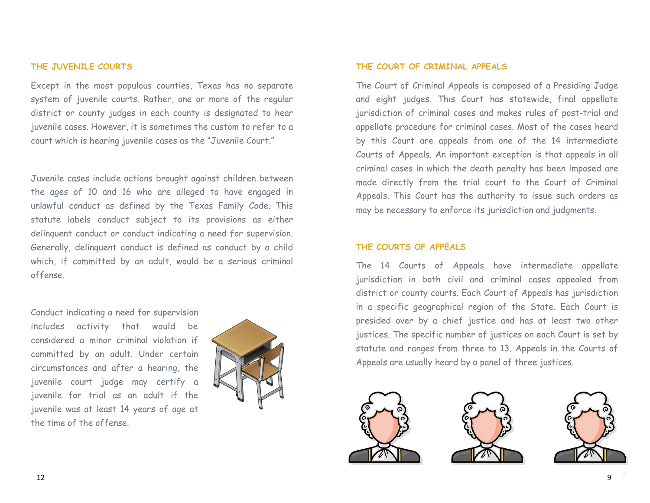#### **THE JUVENILE COURTS**

Except in the most populous counties, Texas has no separate system of juvenile courts. Rather, one or more of the regular district or county judges in each county is designated to hear juvenile cases. However, it is sometimes the custom to refer to a court which is hearing juvenile cases as the "Juvenile Court."

Juvenile cases include actions brought against children between the ages of 10 and 16 who are alleged to have engaged in unlawful conduct as defined by the Texas Family Code. This statute labels conduct subject to its provisions as either delinquent conduct or conduct indicating a need for supervision. Generally, delinquent conduct is defined as conduct by a child which, if committed by an adult, would be a serious criminal offense.

Conduct indicating a need for supervision includes activity that would be considered a minor criminal violation if committed by an adult. Under certain circumstances and after a hearing, the juvenile court judge may certify a juvenile for trial as an adult if the juvenile was at least 14 years of age at the time of the offense.



#### **THE COURT OF CRIMINAL APPEALS**

The Court of Criminal Appeals is composed of a Presiding Judge and eight judges. This Court has statewide, final appellate jurisdiction of criminal cases and makes rules of post-trial and appellate procedure for criminal cases. Most of the cases heard by this Court are appeals from one of the 14 intermediate Courts of Appeals. An important exception is that appeals in all criminal cases in which the death penalty has been imposed are made directly from the trial court to the Court of Criminal Appeals. This Court has the authority to issue such orders as may be necessary to enforce its jurisdiction and judgments.

#### **THE COURTS OF APPEALS**

The 14 Courts of Appeals have intermediate appellate jurisdiction in both civil and criminal cases appealed from district or county courts. Each Court of Appeals has jurisdiction in a specific geographical region of the State. Each Court is presided over by a chief justice and has at least two other justices. The specific number of justices on each Court is set by statute and ranges from three to 13. Appeals in the Courts of Appeals are usually heard by a panel of three justices.